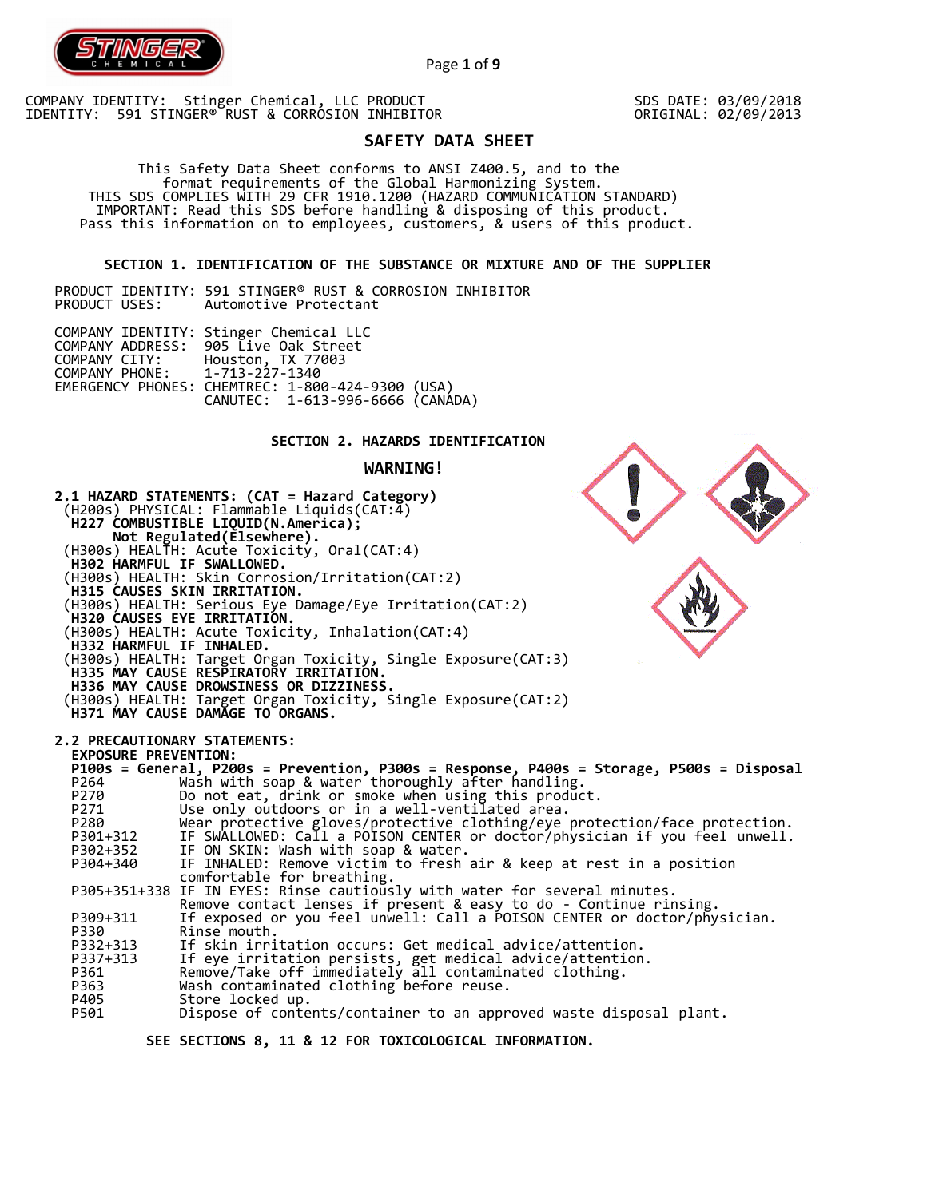

Page **1** of **9**

COMPANY IDENTITY: Stinger Chemical, LLC PRODUCT IDENTITY: 591 STINGER® RUST & CORROSION INHIBITOR SDS DATE: 03/09/2018 ORIGINAL: 02/09/2013

# **SAFETY DATA SHEET**

 This Safety Data Sheet conforms to ANSI Z400.5, and to the format requirements of the Global Harmonizing System. THIS SDS COMPLIES WITH 29 CFR 1910.1200 (HAZARD COMMUNICATION STANDARD) IMPORTANT: Read this SDS before handling & disposing of this product. Pass this information on to employees, customers, & users of this product.

## **SECTION 1. IDENTIFICATION OF THE SUBSTANCE OR MIXTURE AND OF THE SUPPLIER**

PRODUCT IDENTITY: 591 STINGER® RUST & CORROSION INHIBITOR Automotive Protectant

|                               | COMPANY IDENTITY: Stinger Chemical LLC           |  |
|-------------------------------|--------------------------------------------------|--|
|                               | COMPANY ADDRESS: 905 Live Oak Street             |  |
|                               | COMPANY CITY: Houston, TX 77003                  |  |
| COMPANY PHONE: 1-713-227-1340 |                                                  |  |
|                               | EMERGENCY PHONES: CHEMTREC: 1-800-424-9300 (USA) |  |
|                               | CANUTEC: 1-613-996-6666 (CANÁDA)                 |  |

# **SECTION 2. HAZARDS IDENTIFICATION**

#### **WARNING!**



 **SEE SECTIONS 8, 11 & 12 FOR TOXICOLOGICAL INFORMATION.**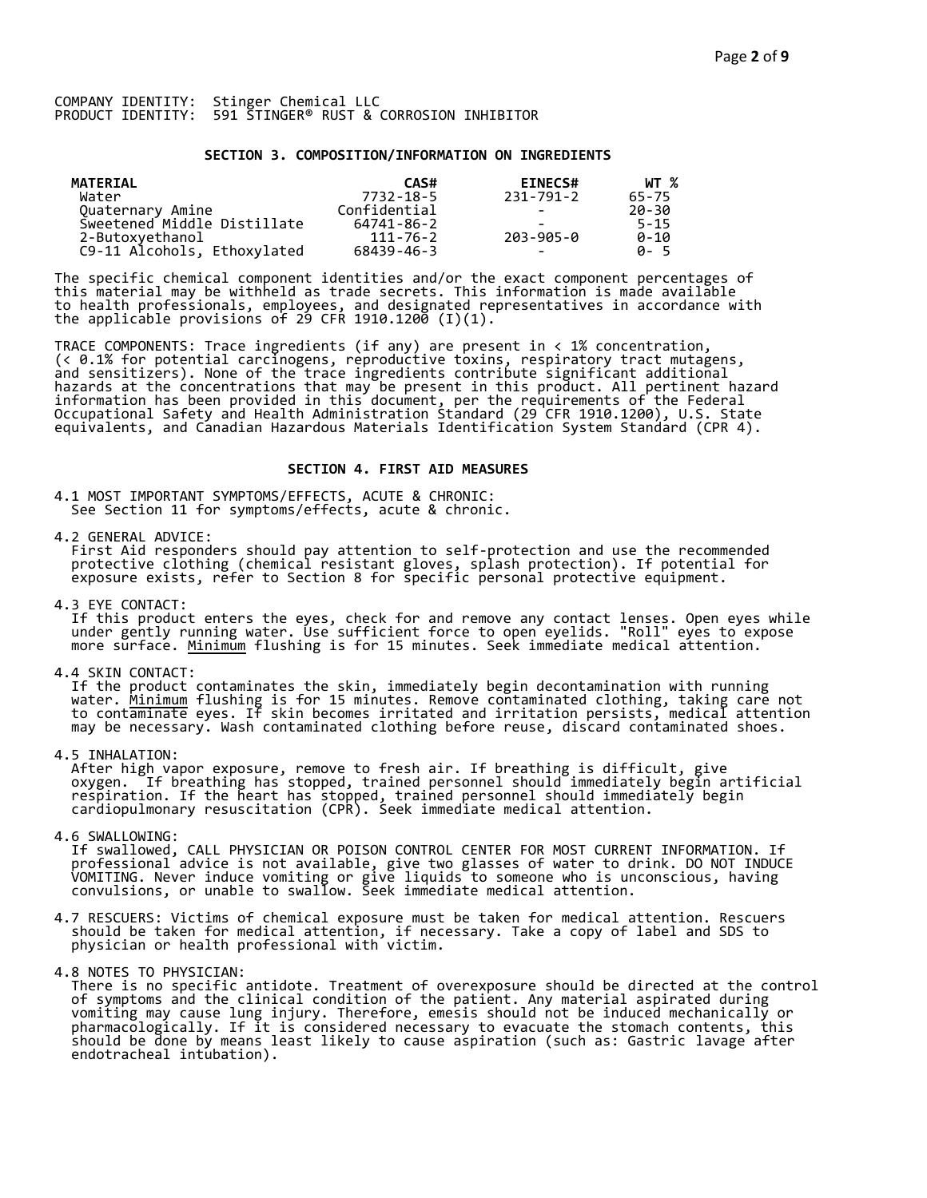## **SECTION 3. COMPOSITION/INFORMATION ON INGREDIENTS**

| MATERIAL                    | CAS#         | <b>EINECS#</b>           | WT %     |
|-----------------------------|--------------|--------------------------|----------|
| Water                       | 7732-18-5    | 231-791-2                | 65-75    |
| Quaternary Amine            | Confidential | -                        | 20-30    |
| Sweetened Middle Distillate | 64741-86-2   |                          | $5 - 15$ |
| 2-Butoxyethanol             | 111-76-2     | 203-905-0                | $0 - 10$ |
| C9-11 Alcohols, Ethoxylated | 68439-46-3   | $\overline{\phantom{0}}$ | A-5      |

The specific chemical component identities and/or the exact component percentages of this material may be withheld as trade secrets. This information is made available to health professionals, employees, and designated representatives in accordance with the applicable provisions of 29 CFR 1910.1200̄ (I)(1).  $\overline{\phantom{a}}$ 

TRACE COMPONENTS: Trace ingredients (if any) are present in < 1% concentration, (< 0.1% for potential carcinogens, reproductive toxins, respiratory tract mutagens, and sensitizers). None of the trace ingredients contribute significant additional hazards at the concentrations that may be present in this product. All pertinent hazard information has been provided in this document, per the requirements of the Federal Occupational Safety and Health Administration Standard (29 CFR 1910.1200), U.S. State equivalents, and Canadian Hazardous Materials Identification System Standard (CPR 4).

## **SECTION 4. FIRST AID MEASURES**

4.1 MOST IMPORTANT SYMPTOMS/EFFECTS, ACUTE & CHRONIC: See Section 11 for symptoms/effects, acute & chronic.

4.2 GENERAL ADVICE:

 First Aid responders should pay attention to self-protection and use the recommended protective clothing (chemical resistant gloves, splash protection). If potential for exposure exists, refer to Section 8 for specific personal protective equipment.

4.3 EYE CONTACT:

 If this product enters the eyes, check for and remove any contact lenses. Open eyes while under gently running water. Use sufficient force to open eyelids. "Roll" eyes to expose more surface. <u>Minimum</u> flushing is for 15 minutes. Seek immediate medical attention.

4.4 SKIN CONTACT:

 If the product contaminates the skin, immediately begin decontamination with running water. <u>Minimum</u> flushing is for 15 minutes. Remove contaminated clothing, taking care not to contaminate eyes. If skin becomes irritated and irritation persists, medical attention may be necessary. Wash contaminated clothing before reuse, discard contaminated shoes.

4.5 INHALATION:

 After high vapor exposure, remove to fresh air. If breathing is difficult, give oxygen. If breathing has stopped, trained personnel should immediately begin artificial respiration. If the heart has stopped, trained personnel should immediately begin cardiopulmonary resuscitation (CPR). Seek immediate medical attention.

4.6 SWALLOWING:

 If swallowed, CALL PHYSICIAN OR POISON CONTROL CENTER FOR MOST CURRENT INFORMATION. If professional advice is not available, give two glasses of water to drink. DO NOT INDUCE VOMITING. Never induce vomiting or give liquids to someone who is unconscious, having convulsions, or unable to swallow. Seek immediate medical attention.

- 4.7 RESCUERS: Victims of chemical exposure must be taken for medical attention. Rescuers should be taken for medical attention, if necessary. Take a copy of label and SDS to physician or health professional with victim.
- 4.8 NOTES TO PHYSICIAN:
- There is no specific antidote. Treatment of overexposure should be directed at the control of symptoms and the clinical condition of the patient. Any material aspirated during vomiting may cause lung injury. Therefore, emesis should not be induced mechanically or pharmacologically. If it is considered necessary to evacuate the stomach contents, this should be done by means least likely to cause aspiration (such as: Gastric lavage after endotracheal intubation).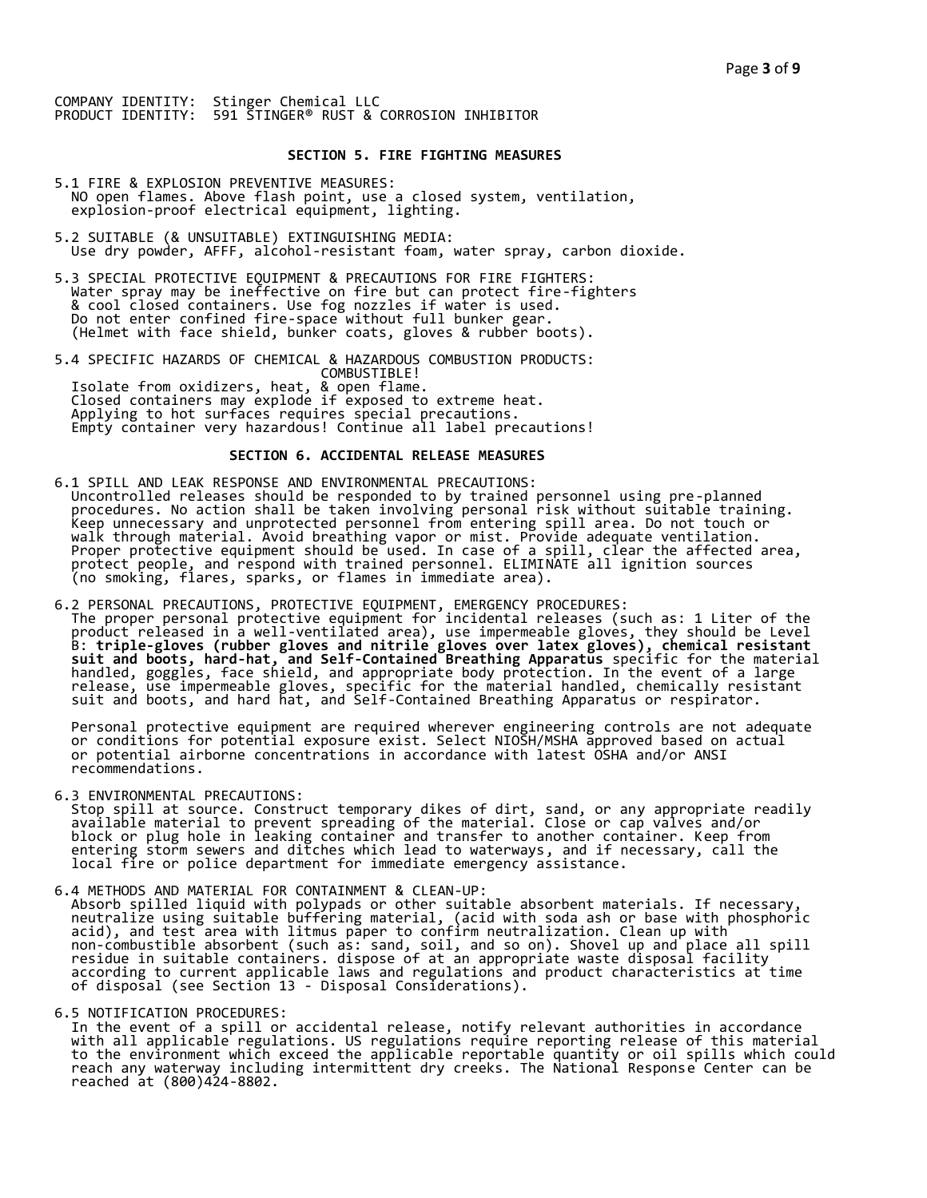#### **SECTION 5. FIRE FIGHTING MEASURES**

- 5.1 FIRE & EXPLOSION PREVENTIVE MEASURES: NO open flames. Above flash point, use a closed system, ventilation, explosion-proof electrical equipment, lighting.
- 5.2 SUITABLE (& UNSUITABLE) EXTINGUISHING MEDIA: Use dry powder, AFFF, alcohol-resistant foam, water spray, carbon dioxide.
- 5.3 SPECIAL PROTECTIVE EQUIPMENT & PRECAUTIONS FOR FIRE FIGHTERS: Water spray may be ineffective on fire but can protect fire-fighters & cool closed containers. Use fog nozzles if water is used. Do not enter confined fire-space without full bunker gear. (Helmet with face shield, bunker coats, gloves & rubber boots).
- 5.4 SPECIFIC HAZARDS OF CHEMICAL & HAZARDOUS COMBUSTION PRODUCTS: COMBUSTIBLE! Isolate from oxidizers, heat, & open flame. Closed containers may explode if exposed to extreme heat. Applying to hot surfaces requires special precautions. Empty container very hazardous! Continue all label precautions!

# **SECTION 6. ACCIDENTAL RELEASE MEASURES**

- 6.1 SPILL AND LEAK RESPONSE AND ENVIRONMENTAL PRECAUTIONS: Uncontrolled releases should be responded to by trained personnel using pre-planned procedures. No action shall be taken involving personal risk without suitable training. Keep unnecessary and unprotected personnel from entering spill area. Do not touch or walk through material. Avoid breathing vapor or mist. Provide adequate ventilation. Proper protective equipment should be used. In case of a spill, clear the affected area, protect people, and respond with trained personnel. ELIMINATE all ignition sources (no smoking, flares, sparks, or flames in immediate area).
- 6.2 PERSONAL PRECAUTIONS, PROTECTIVE EQUIPMENT, EMERGENCY PROCEDURES: The proper personal protective equipment for incidental releases (such as: 1 Liter of the product released in a well-ventilated area), use impermeable gloves, they should be Level B: **triple-gloves (rubber gloves and nitrile gloves over latex gloves), chemical resistant suit and boots, hard-hat, and Self-Contained Breathing Apparatus** specific for the material handled, goggles, face shield, and appropriate body protection. In the event of a large release, use impermeable gloves, specific for the material handled, chemically resistant suit and boots, and hard hat, and Self-Contained Breathing Apparatus or respirator.

 Personal protective equipment are required wherever engineering controls are not adequate or conditions for potential exposure exist. Select NIOSH/MSHA approved based on actual or potential airborne concentrations in accordance with latest OSHA and/or ANSI recommendations.

6.3 ENVIRONMENTAL PRECAUTIONS:

 Stop spill at source. Construct temporary dikes of dirt, sand, or any appropriate readily available material to prevent spreading of the material. Close or cap valves and/or block or plug hole in leaking container and transfer to another container. Keep from entering storm sewers and ditches which lead to waterways, and if necessary, call the local fire or police department for immediate emergency assistance.

6.4 METHODS AND MATERIAL FOR CONTAINMENT & CLEAN-UP:

 Absorb spilled liquid with polypads or other suitable absorbent materials. If necessary, neutralize using suitable buffering material, (acid with soda ash or base with phosphoric acid), and test area with litmus paper to confirm neutralization. Clean up with non-combustible absorbent (such as: sand, soil, and so on). Shovel up and place all spill residue in suitable containers. dispose of at an appropriate waste disposal facility according to current applicable laws and regulations and product characteristics at time of disposal (see Section 13 - Disposal Considerations).

6.5 NOTIFICATION PROCEDURES:

 In the event of a spill or accidental release, notify relevant authorities in accordance with all applicable regulations. US regulations require reporting release of this material to the environment which exceed the applicable reportable quantity or oil spills which could reach any waterway including intermittent dry creeks. The National Response Center can be reached at (800)424-8802.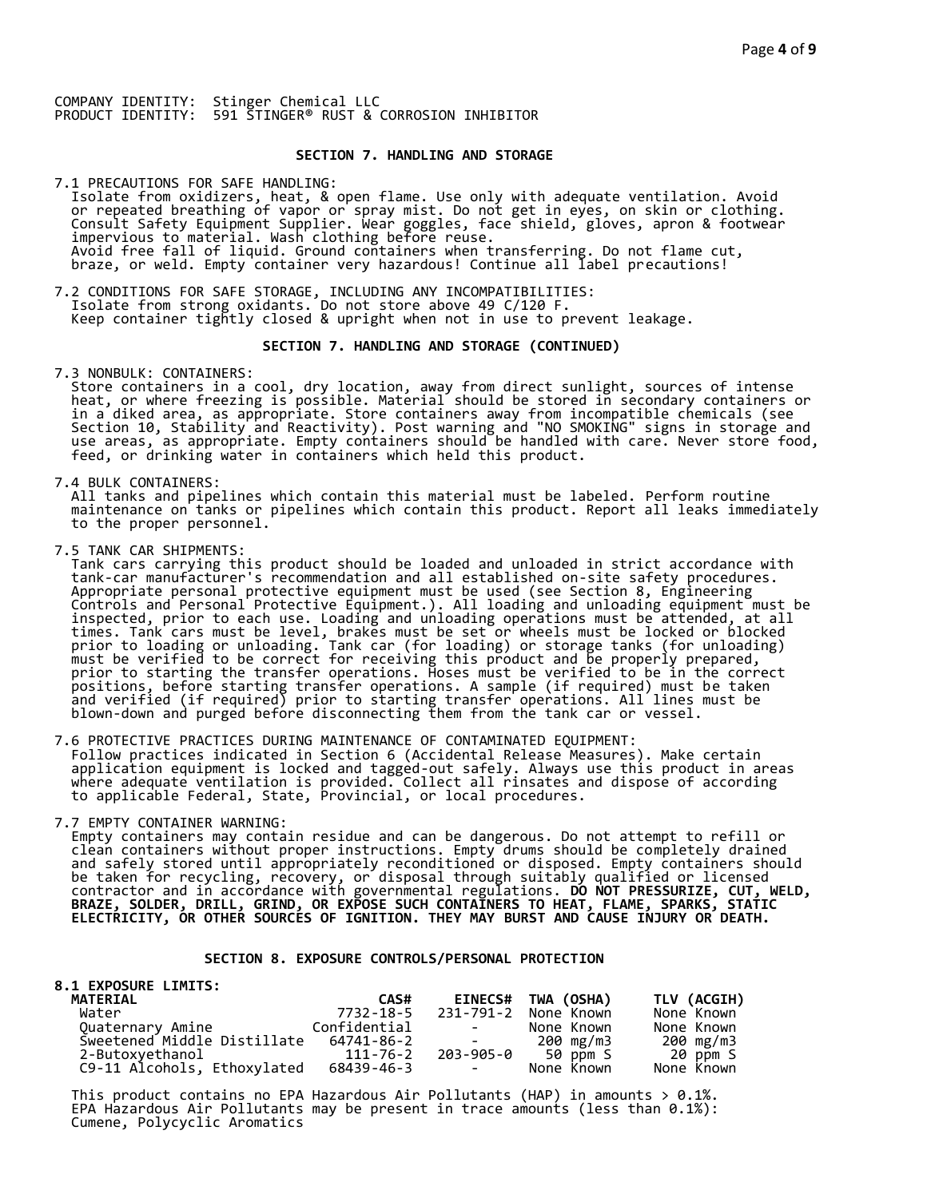### **SECTION 7. HANDLING AND STORAGE**

7.1 PRECAUTIONS FOR SAFE HANDLING: Isolate from oxidizers, heat, & open flame. Use only with adequate ventilation. Avoid or repeated breathing of vapor or spray mist. Do not get in eyes, on skin or clothing. Consult Safety Equipment Supplier. Wear goggles, face shield, gloves, apron & footwear impervious to material. Wash clothing before reuse. Avoid free fall of liquid. Ground containers when transferring. Do not flame cut, braze, or weld. Empty container very hazardous! Continue all label precautions!

7.2 CONDITIONS FOR SAFE STORAGE, INCLUDING ANY INCOMPATIBILITIES: Isolate from strong oxidants. Do not store above 49 C/120 F. Keep container tightly closed & upright when not in use to prevent leakage.

## **SECTION 7. HANDLING AND STORAGE (CONTINUED)**

7.3 NONBULK: CONTAINERS:

 Store containers in a cool, dry location, away from direct sunlight, sources of intense heat, or where freezing is possible. Material should be stored in secondary containers or in a diked area, as appropriate. Store containers away from incompatible chemicals (see Section 10, Stability and Reactivity). Post warning and "NO SMOKING" signs in storage and use areas, as appropriate. Empty containers should be handled with care. Never store food, feed, or drinking water in containers which held this product.

7.4 BULK CONTAINERS:

 All tanks and pipelines which contain this material must be labeled. Perform routine maintenance on tanks or pipelines which contain this product. Report all leaks immediately to the proper personnel.

7.5 TANK CAR SHIPMENTS:

 Tank cars carrying this product should be loaded and unloaded in strict accordance with tank-car manufacturer's recommendation and all established on-site safety procedures. Appropriate personal protective equipment must be used (see Section 8, Engineering Controls and Personal Protective Equipment.). All loading and unloading equipment must be inspected, prior to each use. Loading and unloading operations must be attended, at all times. Tank cars must be level, brakes must be set or wheels must be locked or blocked prior to loading or unloading. Tank car (for loading) or storage tanks (for unloading) must be verified to be correct for receiving this product and be properly prepared, prior to starting the transfer operations. Hoses must be verified to be in the correct positions, before starting transfer operations. A sample (if required) must be taken and verified (if required) prior to starting transfer operations. All lines must be blown-down and purged before disconnecting them from the tank car or vessel.

7.6 PROTECTIVE PRACTICES DURING MAINTENANCE OF CONTAMINATED EQUIPMENT: Follow practices indicated in Section 6 (Accidental Release Measures). Make certain application equipment is locked and tagged-out safely. Always use this product in areas where adequate ventilation is provided. Collect all rinsates and dispose of according to applicable Federal, State, Provincial, or local procedures.

7.7 EMPTY CONTAINER WARNING:

 Empty containers may contain residue and can be dangerous. Do not attempt to refill or clean containers without proper instructions. Empty drums should be completely drained and safely stored until appropriately reconditioned or disposed. Empty containers should be taken for recycling, recovery, or disposal through suitably qualified or licensed contractor and in accordance with governmental regulations. **DO NOT PRESSURIZE, CUT, WELD, BRAZE, SOLDER, DRILL, GRIND, OR EXPOSE SUCH CONTAINERS TO HEAT, FLAME, SPARKS, STATIC ELECTRICITY, OR OTHER SOURCES OF IGNITION. THEY MAY BURST AND CAUSE INJURY OR DEATH.**

## **SECTION 8. EXPOSURE CONTROLS/PERSONAL PROTECTION**

| <b>8.1 EXPOSURE LIMITS:</b> |              |                          |                    |             |
|-----------------------------|--------------|--------------------------|--------------------|-------------|
| <b>MATERIAL</b>             | CAS#         |                          | EINECS# TWA (OSHA) | TLV (ACGIH) |
| Water                       | 7732-18-5    | 231-791-2                | None Known         | None Known  |
| Quaternary Amine            | Confidential | and the state of the     | None Known         | None Known  |
| Sweetened Middle Distillate | 64741-86-2   | and the state of the     | 200 mg/m3          | 200 mg/m3   |
| 2-Butoxyethanol             | 111-76-2     |                          | 203-905-0 50 ppm S | 20 ppm S    |
| C9-11 Alcohols, Ethoxylated | 68439-46-3   | <b>Contract Contract</b> | None Known         | None Known  |

This product contains no EPA Hazardous Air Pollutants (HAP) in amounts  $> 0.1\%$ . EPA Hazardous Air Pollutants may be present in trace amounts (less than 0.1%): Cumene, Polycyclic Aromatics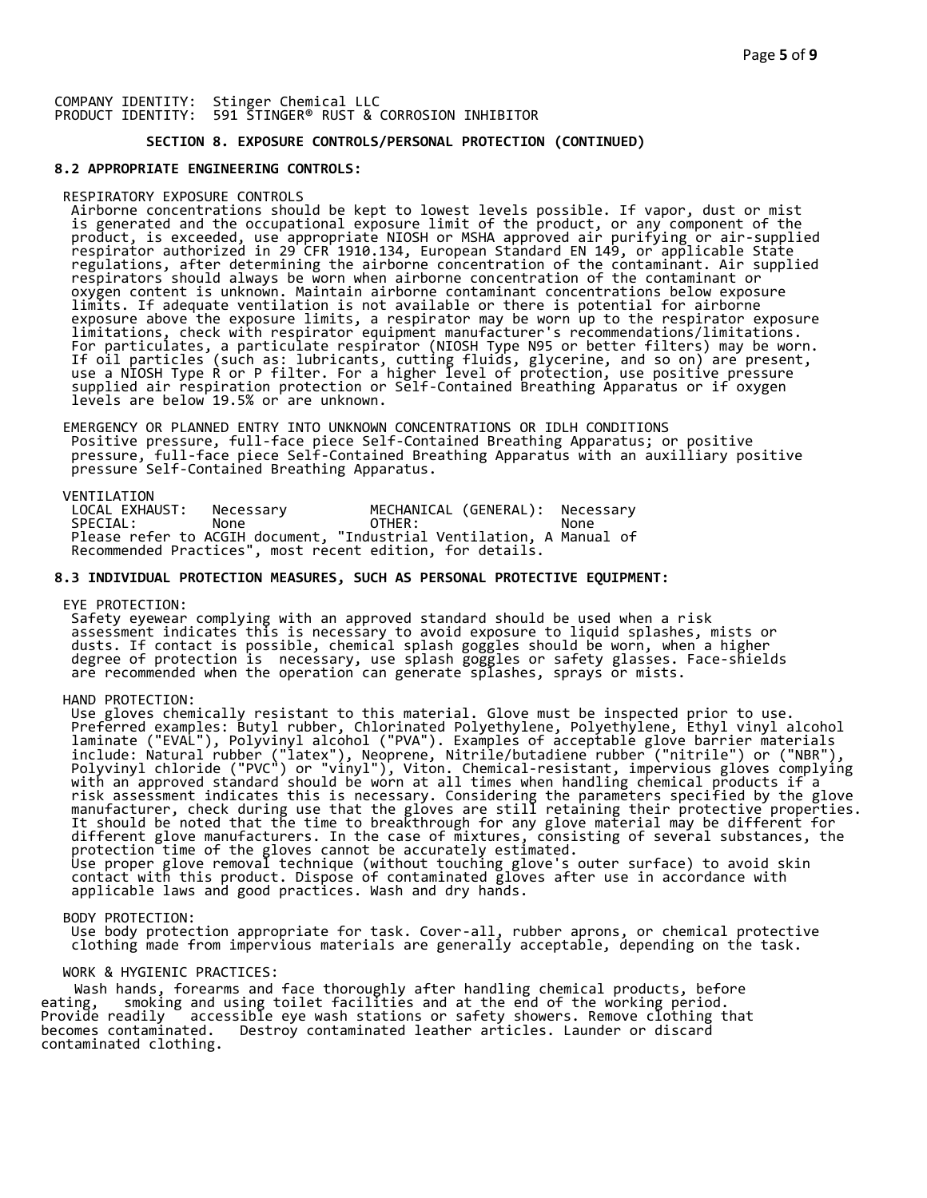# **SECTION 8. EXPOSURE CONTROLS/PERSONAL PROTECTION (CONTINUED)**

#### **8.2 APPROPRIATE ENGINEERING CONTROLS:**

#### RESPIRATORY EXPOSURE CONTROLS

 Airborne concentrations should be kept to lowest levels possible. If vapor, dust or mist is generated and the occupational exposure limit of the product, or any component of the product, is exceeded, use appropriate NIOSH or MSHA approved air purifying or air-supplied respirator authorized in 29 CFR 1910.134, European Standard EN 149, or applicable State regulations, after determining the airborne concentration of the contaminant. Air supplied respirators should always be worn when airborne concentration of the contaminant or oxygen content is unknown. Maintain airborne contaminant concentrations below exposure limits. If adequate ventilation is not available or there is potential for airborne exposure above the exposure limits, a respirator may be worn up to the respirator exposure limitations, check with respirator equipment manufacturer's recommendations/limitations. For particulates, a particulate respirator (NIOSH Type N95 or better filters) may be worn. If oil particles (such as: lubricants, cutting fluids, glycerine, and so on) are present, use a NIOSH Type R or P filter. For a higher level of protection, use positive pressure supplied air respiration protection or Self-Contained Breathing Apparatus or if oxygen levels are below 19.5% or are unknown.

 EMERGENCY OR PLANNED ENTRY INTO UNKNOWN CONCENTRATIONS OR IDLH CONDITIONS Positive pressure, full-face piece Self-Contained Breathing Apparatus; or positive pressure, full-face piece Self-Contained Breathing Apparatus with an auxilliary positive pressure Self-Contained Breathing Apparatus.

VENTILATION<br>LOCAL EXHAUST: LOCAL EXHAUST: Necessary MECHANICAL (GENERAL): Necessary SPECIAL: None OTHER: None Please refer to ACGIH document, "Industrial Ventilation, A Manual of Recommended Practices", most recent edition, for details.

#### **8.3 INDIVIDUAL PROTECTION MEASURES, SUCH AS PERSONAL PROTECTIVE EQUIPMENT:**

EYE PROTECTION:

 Safety eyewear complying with an approved standard should be used when a risk assessment indicates this is necessary to avoid exposure to liquid splashes, mists or dusts. If contact is possible, chemical splash goggles should be worn, when a higher degree of protection is necessary, use splash goggles or safety glasses. Face-shields are recommended when the operation can generate splashes, sprays or mists.

# HAND PROTECTION:

 Use gloves chemically resistant to this material. Glove must be inspected prior to use. Preferred examples: Butyl rubber, Chlorinated Polyethylene, Polyethylene, Ethyl vinyl alcohol laminate ("EVAL"), Polyvinyl alcohol ("PVA"). Examples of acceptable glove barrier materials include: Natural rubber ("latex"), Neoprene, Nitrile/butadiene rubber ("nitrile") or ("NBR"), Polyvinyl chloride ("PVC") or "vinyl"), Viton. Chemical-resistant, impervious gloves complying with an approved standard should be worn at all times when handling chemical products if a risk assessment indicates this is necessary. Considering the parameters specified by the glove manufacturer, check during use that the gloves are still retaining their protective properties. It should be noted that the time to breakthrough for any glove material may be different for different glove manufacturers. In the case of mixtures, consisting of several substances, the protection time of the gloves cannot be accurately estimated. Use proper glove removal technique (without touching glove's outer surface) to avoid skin contact with this product. Dispose of contaminated gloves after use in accordance with applicable laws and good practices. Wash and dry hands.

#### BODY PROTECTION:

 Use body protection appropriate for task. Cover-all, rubber aprons, or chemical protective clothing made from impervious materials are generally acceptable, depending on the task.

#### WORK & HYGIENIC PRACTICES:

Wash hands, forearms and face thoroughly after handling chemical products, before eating. smoking and using toilet facilities and at the end of the working period. eating, smoking and using toilet facilities and at the end of the working period.<br>Provide readily accessible eye wash stations or safety showers. Remove clothing t Provide readily accessible eye wash stations or safety showers. Remove clothing that becomes contaminated. Destroy contaminated leather articles. Launder or discard Destroy contaminated leather articles. Launder or discard contaminated clothing.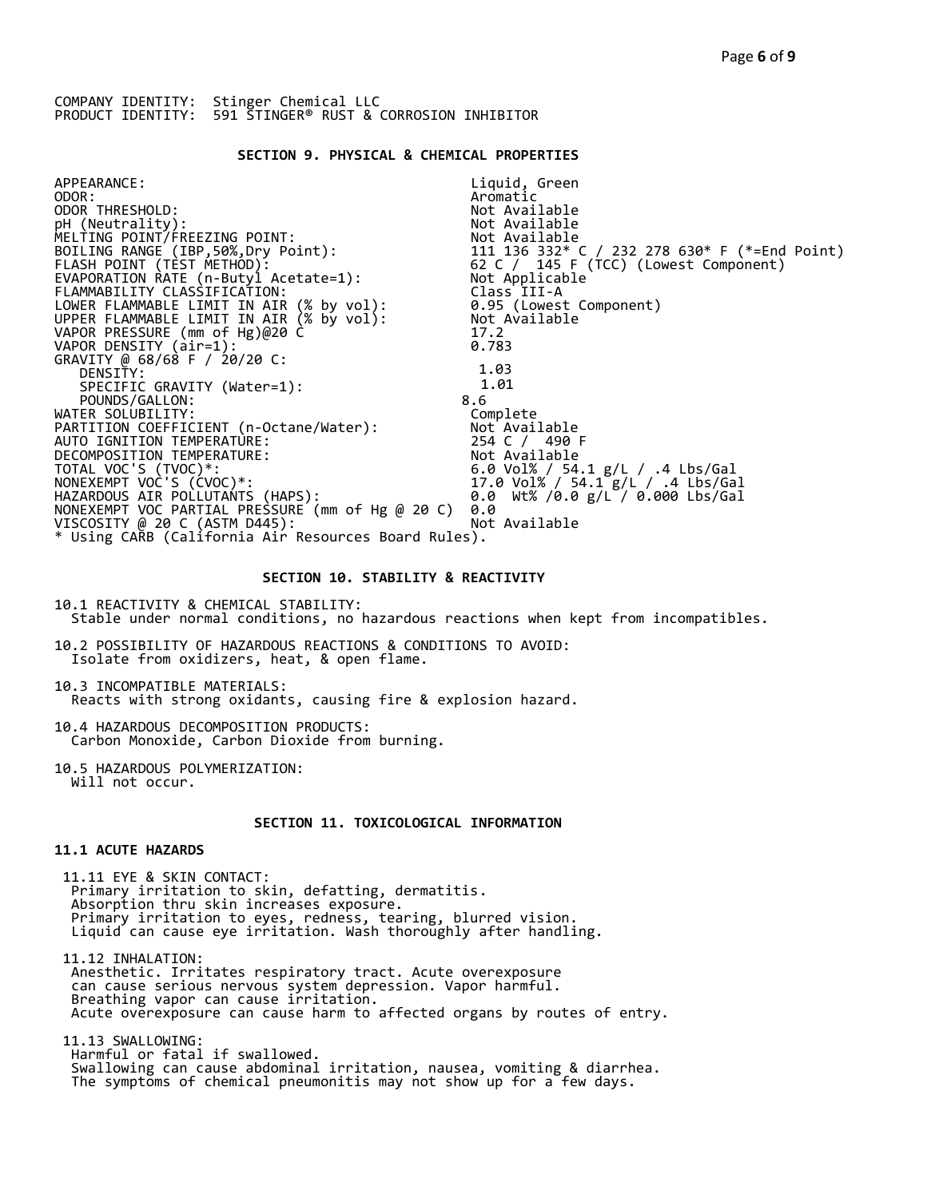### **SECTION 9. PHYSICAL & CHEMICAL PROPERTIES**

| Liquid, Green                                                                                                                 |
|-------------------------------------------------------------------------------------------------------------------------------|
| Aromatic                                                                                                                      |
| Not Available                                                                                                                 |
| Not Available                                                                                                                 |
|                                                                                                                               |
|                                                                                                                               |
|                                                                                                                               |
| Not Available<br>111  136  332* C / 232  278  630* F (*=End Point)<br>62 C / 145 F (TCC) (Lowest Component)<br>Not Applicable |
| Class III-A                                                                                                                   |
| 0.95 (Lowest Component)                                                                                                       |
| Not Available                                                                                                                 |
| 17.2                                                                                                                          |
| 0.783                                                                                                                         |
|                                                                                                                               |
| 1.03                                                                                                                          |
| 1.01                                                                                                                          |
| 8.6                                                                                                                           |
| Complete                                                                                                                      |
| Not Available                                                                                                                 |
| 254 C / 490 F                                                                                                                 |
| Not Available                                                                                                                 |
| 6.0 Vol% / 54.1 $g/L$ / .4 Lbs/Gal                                                                                            |
| 17.0 Vol% / 54.1 g/L / .4 Lbs/Gal                                                                                             |
| 0.0 Wt% /0.0 g/L / 0.000 Lbs/Gal                                                                                              |
| 0.0                                                                                                                           |
| Not Available                                                                                                                 |
| * Using CARB (California Air Resources Board Rules).                                                                          |
|                                                                                                                               |

### **SECTION 10. STABILITY & REACTIVITY**

10.1 REACTIVITY & CHEMICAL STABILITY: Stable under normal conditions, no hazardous reactions when kept from incompatibles.

10.2 POSSIBILITY OF HAZARDOUS REACTIONS & CONDITIONS TO AVOID: Isolate from oxidizers, heat, & open flame.

10.3 INCOMPATIBLE MATERIALS: Reacts with strong oxidants, causing fire & explosion hazard.

10.4 HAZARDOUS DECOMPOSITION PRODUCTS: Carbon Monoxide, Carbon Dioxide from burning.

10.5 HAZARDOUS POLYMERIZATION: Will not occur.

# **SECTION 11. TOXICOLOGICAL INFORMATION**

# **11.1 ACUTE HAZARDS**

 11.11 EYE & SKIN CONTACT: Primary irritation to skin, defatting, dermatitis. Absorption thru skin increases exposure. Primary irritation to eyes, redness, tearing, blurred vision. Liquid can cause eye irritation. Wash thoroughly after handling.

 11.12 INHALATION: Anesthetic. Irritates respiratory tract. Acute overexposure can cause serious nervous system depression. Vapor harmful. Breathing vapor can cause irritation. Acute overexposure can cause harm to affected organs by routes of entry.

 11.13 SWALLOWING: Harmful or fatal if swallowed. Swallowing can cause abdominal irritation, nausea, vomiting & diarrhea. The symptoms of chemical pneumonitis may not show up for a few days.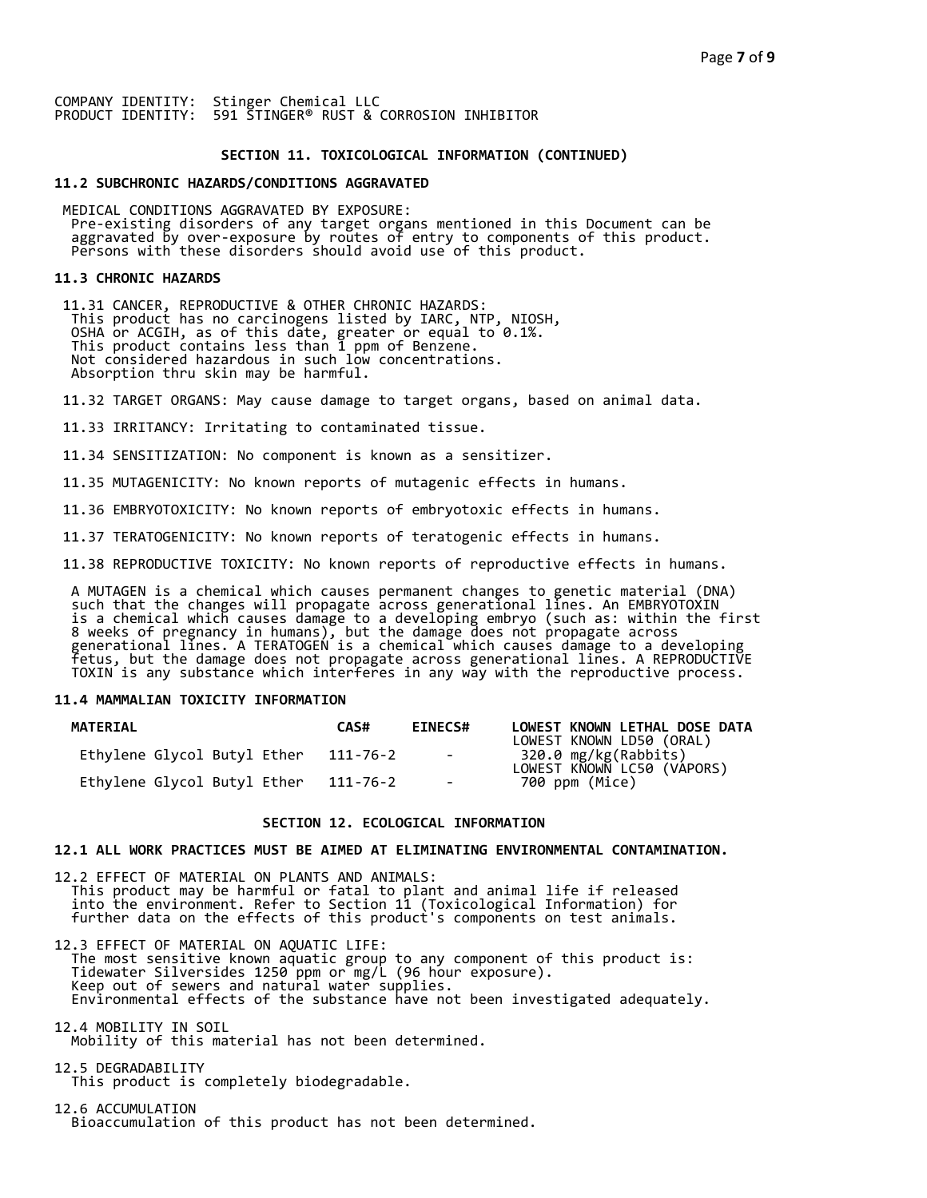#### **SECTION 11. TOXICOLOGICAL INFORMATION (CONTINUED)**

#### **11.2 SUBCHRONIC HAZARDS/CONDITIONS AGGRAVATED**

 MEDICAL CONDITIONS AGGRAVATED BY EXPOSURE: Pre-existing disorders of any target organs mentioned in this Document can be aggravated by over-exposure by routes of entry to components of this product. Persons with these disorders should avoid use of this product.

#### **11.3 CHRONIC HAZARDS**

 11.31 CANCER, REPRODUCTIVE & OTHER CHRONIC HAZARDS: This product has no carcinogens listed by IARC, NTP, NIOSH, OSHA or ACGIH, as of this date, greater or equal to 0.1%. This product contains less than 1 ppm of Benzene. Not considered hazardous in such low concentrations. Absorption thru skin may be harmful.

11.32 TARGET ORGANS: May cause damage to target organs, based on animal data.

11.33 IRRITANCY: Irritating to contaminated tissue.

11.34 SENSITIZATION: No component is known as a sensitizer.

11.35 MUTAGENICITY: No known reports of mutagenic effects in humans.

11.36 EMBRYOTOXICITY: No known reports of embryotoxic effects in humans.

11.37 TERATOGENICITY: No known reports of teratogenic effects in humans.

11.38 REPRODUCTIVE TOXICITY: No known reports of reproductive effects in humans.

 A MUTAGEN is a chemical which causes permanent changes to genetic material (DNA) such that the changes will propagate across generational lines. An EMBRYOTOXIN is a chemical which causes damage to a developing embryo (such as: within the first 8 weeks of pregnancy in humans), but the damage does not propagate across generational lines. A TERATOGEN is a chemical which causes damage to a developing fetus, but the damage does not propagate across generational lines. A REPRODUCTIVE TOXIN is any substance which interferes in any way with the reproductive process.

## **11.4 MAMMALIAN TOXICITY INFORMATION**

| MATERIAL                    | CAS#     | <b>EINECS#</b>      | LOWEST KNOWN LETHAL DOSE DATA<br>LOWEST KNOWN LD50 (ORAL) |
|-----------------------------|----------|---------------------|-----------------------------------------------------------|
| Ethylene Glycol Butyl Ether | 111-76-2 | and the contract of | 320.0 mg/kg(Rabbiťs)<br>LOWEST KNOWN LC50 (VÁPORS)        |
| Ethylene Glycol Butyl Ether | 111-76-2 | $\sim$              | 700 ppm (Mice)                                            |

### **SECTION 12. ECOLOGICAL INFORMATION**

## **12.1 ALL WORK PRACTICES MUST BE AIMED AT ELIMINATING ENVIRONMENTAL CONTAMINATION.**

12.2 EFFECT OF MATERIAL ON PLANTS AND ANIMALS: This product may be harmful or fatal to plant and animal life if released into the environment. Refer to Section 11 (Toxicological Information) for further data on the effects of this product's components on test animals.

12.3 EFFECT OF MATERIAL ON AQUATIC LIFE: The most sensitive known aquatic group to any component of this product is: Tidewater Silversides 1250 ppm or mg/L (96 hour exposure). Keep out of sewers and natural water supplies. Environmental effects of the substance have not been investigated adequately.

12.4 MOBILITY IN SOIL Mobility of this material has not been determined.

12.5 DEGRADABILITY This product is completely biodegradable.

12.6 ACCUMULATION Bioaccumulation of this product has not been determined.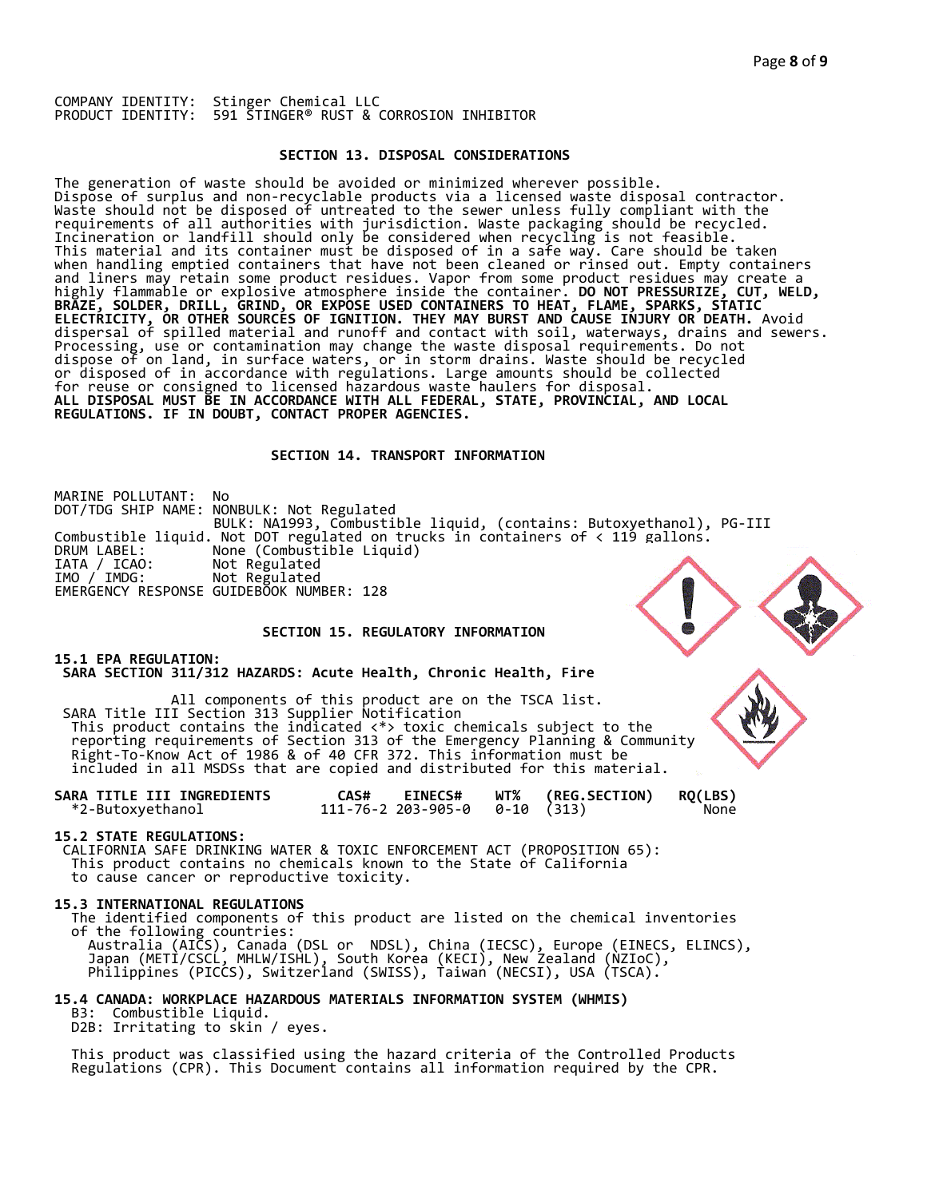### **SECTION 13. DISPOSAL CONSIDERATIONS**

The generation of waste should be avoided or minimized wherever possible. Dispose of surplus and non-recyclable products via a licensed waste disposal contractor. Waste should not be disposed of untreated to the sewer unless fully compliant with the requirements of all authorities with jurisdiction. Waste packaging should be recycled. Incineration or landfill should only be considered when recycling is not feasible. This material and its container must be disposed of in a safe way. Care should be taken when handling emptied containers that have not been cleaned or rinsed out. Empty containers and liners may retain some product residues. Vapor from some product residues may create a highly flammable or explosive atmosphere inside the container. **DO NOT PRESSURIZE, CUT, WELD, BRAZE, SOLDER, DRILL, GRIND, OR EXPOSE USED CONTAINERS TO HEAT, FLAME, SPARKS, STATIC ELECTRICITY, OR OTHER SOURCES OF IGNITION. THEY MAY BURST AND CAUSE INJURY OR DEATH.** Avoid dispersal of spilled material and runoff and contact with soil, waterways, drains and sewers. Processing, use or contamination may change the waste disposal requirements. Do not dispose of on land, in surface waters, or in storm drains. Waste should be recycled or disposed of in accordance with regulations. Large amounts should be collected for reuse or consigned to licensed hazardous waste haulers for disposal. **ALL DISPOSAL MUST BE IN ACCORDANCE WITH ALL FEDERAL, STATE, PROVINCIAL, AND LOCAL REGULATIONS. IF IN DOUBT, CONTACT PROPER AGENCIES.** 

### **SECTION 14. TRANSPORT INFORMATION**

MARINE POLLUTANT: No DOT/TDG SHIP NAME: NONBULK: Not Regulated BULK: NA1993, Combustible liquid, (contains: Butoxyethanol), PG-III Combustible liquid. Not DOT regulated on trucks in containers of < 119 gallons. DRUM LABEL: None (Combustible Liquid) IATA / ICAO: Not Regulated IMO / IMDG: Not Regulated EMERGENCY RESPONSE GUIDEBOOK NUMBER: 128

# **SECTION 15. REGULATORY INFORMATION**

**15.1 EPA REGULATION: SARA SECTION 311/312 HAZARDS: Acute Health, Chronic Health, Fire** 

All components of this product are on the TSCA list. SARA Title III Section 313 Supplier Notification This product contains the indicated <\*> toxic chemicals subject to the reporting requirements of Section 313 of the Emergency Planning & Community Right-To-Know Act of 1986 & of 40 CFR 372. This information must be included in all MSDSs that are copied and distributed for this material.

| SARA TITLE III INGREDIENTS | <b>EINECS#</b><br>CAS#                 | <b>WT% (REG.SECTION)</b> | <b>RQ(LBS)</b> |
|----------------------------|----------------------------------------|--------------------------|----------------|
| *2-Butoxyethanol           | $111 - 76 - 2203 - 905 - 00 - 10(313)$ |                          | None           |

#### **15.2 STATE REGULATIONS:**

 CALIFORNIA SAFE DRINKING WATER & TOXIC ENFORCEMENT ACT (PROPOSITION 65): This product contains no chemicals known to the State of California to cause cancer or reproductive toxicity.

#### **15.3 INTERNATIONAL REGULATIONS**

 The identified components of this product are listed on the chemical inventories of the following countries: Australia (AICS), Canada (DSL or NDSL), China (IECSC), Europe (EINECS, ELINCS), Japan (METI/CSCL, MHLW/ISHL), South Korea (KECI), New Zealand (NZIoC), Philippines (PICCS), Switzerland (SWISS), Taiwan (NECSI), USA (TSCA).

**15.4 CANADA: WORKPLACE HAZARDOUS MATERIALS INFORMATION SYSTEM (WHMIS)** 

 B3: Combustible Liquid. D2B: Irritating to skin / eyes.

 This product was classified using the hazard criteria of the Controlled Products Regulations (CPR). This Document contains all information required by the CPR.